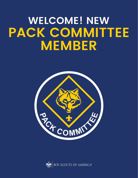# **WELCOME! NEW PACK COMMITTEE MEMBER**



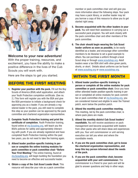

#### Welcome to your new adventure!

With the proper training, resources, and excitement, you have the ability to make a positive difference in the lives of the Cub Scouts you will work with.

Here are the steps to get you started.

#### BEFORE THE FIRST MEETING

- 1. Register your position with the pack. Fill out the Boy Scouts of America (BSA) adult application, and attach your Youth Protection completion certificate. (See no. 2.) This form will register you with the BSA and give the BSA permission to initiate a background check for approving you as a leader. If you are already a registered leader in the pack, you still need to complete this step so your position can be approved by the pack committee and chartered organization representative.
- 2. Complete Youth Protection training and print the certificate of completion. Youth Protection training, found online at [my.Scouting.org](http://my.Scouting.org), will teach you the BSA's policies for safely and appropriately interacting with youth. If you are already registered and have completed Youth Protection training within the past two years, you do not need to take the training again.
- 3. Attend leader position-specific training in person or complete the online training modules for pack committee or pack committee chair "Before Your First Meeting." The online training, found at [my.Scouting.org](http://my.Scouting.org), will begin building the foundation you need to become an effective and successful leader.
- 4. Obtain a copy of the *Cub Scout Leader Book.* This resource will describe your role as a pack committee

member or pack committee chair and will give you more information about the following steps. Your pack may have a pack library, or another leader may let you borrow a copy of this resource to allow you to get started right away.

- 5. Become acquainted with the other leaders in your pack. You will need their assistance in carrying out a successful pack program. You will work closely with the pack committee chair and other members of the pack committee.
- 6. The chair should begin wearing the Cub Scout leader uniform as soon as possible, to be easily identified as a leader, and encourage other committee members to do likewise to set a good example to others. You can purchase a uniform through a local Scout shop or through [www.scoutshop.org.](http://www.scoutshop.org) Adult leaders wear a tan BSA shirt with olive green pants, shorts, or skort. Details about uniforms can be found at [www.scouting.org](http://www.scouting.org) or [www.scoutshop.org](http://www.scoutshop.org).

#### WITHIN THE FIRST MONTH

- 1. Attend leader position-specific training in person or complete all the online modules for pack committee or pack committee chair. Once you have either attended leader position-specific training in person or completed all online modules for pack committee or pack committee chair at [my.Scouting.org](http://my.Scouting.org), you are considered trained and eligible to wear the Trained patch, worn below the position patch.
- 2. Attend the monthly pack committee meeting. This meeting, led by the pack committee chair, is where pack plans are made.
- 3. Attend the monthly district Cub Scout leaders' roundtable. You will receive assistance on pack management and become acquainted with leaders from other packs who will share ideas and experiences with you. Your unit commissioner or unit-serving executive can tell you when and where the roundtable meets.
- 4. If you are the pack committee chair, get to know the chartered organization representative, and keep this key person informed about the needs of the pack.
- 5. If you are the pack committee chair, become acquainted with your unit commissioner. The commissioner is a friend to your pack and will be glad to answer questions and help in other ways.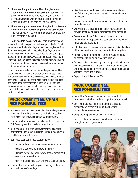- 6. If you are the pack committee chair, become acquainted with your unit-serving executive. This professional Scouter is employed by your council to serve all Scouting units in your district and will do everything possible to help you be successful.
- 7. If you are a pack committee chair, begin to develop a close working relationship with the Cubmaster. The two of you will be working as a team to make the pack program successful.

Don't hesitate to ask for help. There are many people who want to help you provide the finest possible Cub Scout experience for the families in your pack. As a registered Cub Scout volunteer, you will also receive *Scouting* magazine, which includes information to assist you as a leader. A good source of information is www.scouting.org/cubscouts. By the time you have completed the steps outlined here, you will be well on your way to becoming a successful pack committee chair or committee member.

You were selected as a member of the pack committee because of your abilities and character. Regardless of the size of your pack committee, certain responsibilities must be performed if Cub Scouts are to receive the type of fun-filled and meaningful programs they signed up for. By making the commitment to serve as a leader, you have significant responsibilities as pack committee chair or a member of the pack committee.

### PACK COMMITTEE CHAIR RESPONSIBILITIES

- Maintain a close relationship with the chartered organization representative and the chartered organization to cultivate harmonious relations and maintain communications.
- Confer with the Cubmaster on policy matters relating to Cub Scouting and the chartered organization.
- Identify and recruit, with approval from the chartered organization, enough of the right volunteers to ensure a quality program is delivered.
- Supervise pack committee operations by
	- Calling and presiding at pack committee meetings.
	- Assigning duties to committee members.
	- Planning for pack charter review, formal recruitment events, and reregistration.
	- Approving bills before payment by the pack treasurer.
- Conduct the annual pack program planning conference and pack leaders' meetings.
- Ask the committee to assist with recommendations for Cubmaster, assistant Cubmasters, and den leaders as needed.
- Recognize the need for more dens, and see that they are formed as needed.
- Work with the chartered organization representative to provide adequate and safe facilities for pack meetings.
- Cooperate with the Cubmaster on council-approved money-earning projects so the pack can earn money for materials and equipment.
- If the Cubmaster is unable to serve, assume active direction of the pack until a successor is recruited and registered.
- Appoint a committee member or other registered adult to be responsible for Youth Protection training.
- Develop and maintain strong pack-troop relationships and work closely with the unit commissioner and other pack and troop leaders in bringing about a smooth transition of Webelos Scouts into a troop.
- Support the policies of the BSA.

### PACK COMMITTEE RESPONSIBILITIES

- Recruit the Cubmaster and one or more assistant Cubmasters, with the chartered organization's approval.
- Coordinate the pack's program and the chartered organization's program through the chartered organization representative.
- Complete the pack annual charter renewal.
- Help stimulate the interest of adult family members through proper programming.